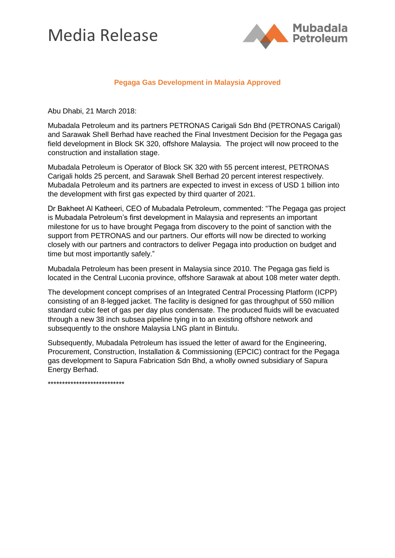## Media Release



## **Pegaga Gas Development in Malaysia Approved**

Abu Dhabi, 21 March 2018:

Mubadala Petroleum and its partners PETRONAS Carigali Sdn Bhd (PETRONAS Carigali) and Sarawak Shell Berhad have reached the Final Investment Decision for the Pegaga gas field development in Block SK 320, offshore Malaysia. The project will now proceed to the construction and installation stage.

Mubadala Petroleum is Operator of Block SK 320 with 55 percent interest, PETRONAS Carigali holds 25 percent, and Sarawak Shell Berhad 20 percent interest respectively. Mubadala Petroleum and its partners are expected to invest in excess of USD 1 billion into the development with first gas expected by third quarter of 2021.

Dr Bakheet Al Katheeri, CEO of Mubadala Petroleum, commented: "The Pegaga gas project is Mubadala Petroleum's first development in Malaysia and represents an important milestone for us to have brought Pegaga from discovery to the point of sanction with the support from PETRONAS and our partners. Our efforts will now be directed to working closely with our partners and contractors to deliver Pegaga into production on budget and time but most importantly safely."

Mubadala Petroleum has been present in Malaysia since 2010. The Pegaga gas field is located in the Central Luconia province, offshore Sarawak at about 108 meter water depth.

The development concept comprises of an Integrated Central Processing Platform (ICPP) consisting of an 8-legged jacket. The facility is designed for gas throughput of 550 million standard cubic feet of gas per day plus condensate. The produced fluids will be evacuated through a new 38 inch subsea pipeline tying in to an existing offshore network and subsequently to the onshore Malaysia LNG plant in Bintulu.

Subsequently, Mubadala Petroleum has issued the letter of award for the Engineering, Procurement, Construction, Installation & Commissioning (EPCIC) contract for the Pegaga gas development to Sapura Fabrication Sdn Bhd, a wholly owned subsidiary of Sapura Energy Berhad.

\*\*\*\*\*\*\*\*\*\*\*\*\*\*\*\*\*\*\*\*\*\*\*\*\*\*\*